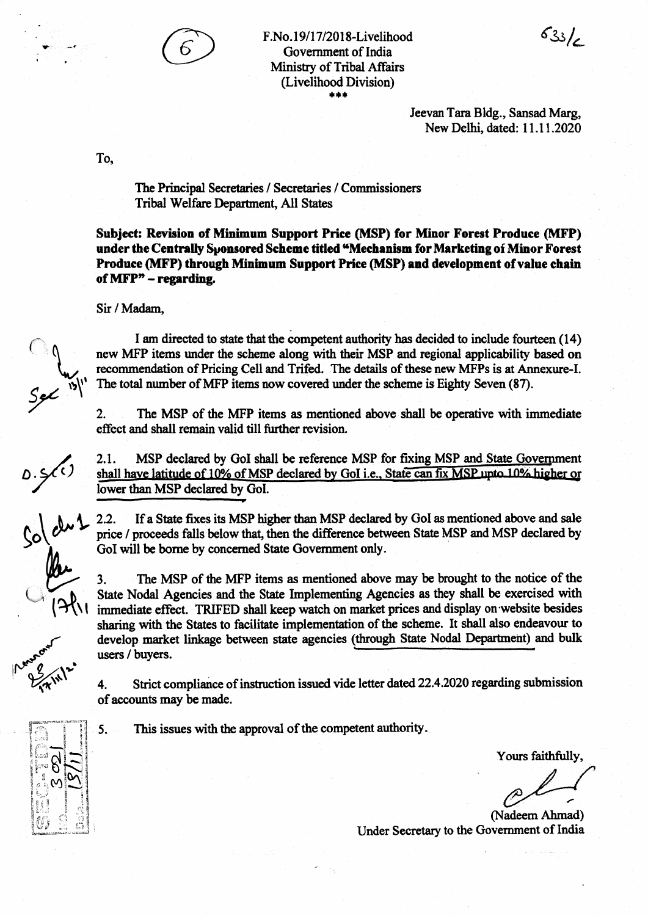

F.No.19/17/2018-Livelihood Government of India **Ministry of Tribal Affairs** (Livelihood Division) \*\*\*

> Jeevan Tara Bidg., Sansad Marg, New Delhi, dated: 11.11.2020

 $633/6$ 

To.

The Principal Secretaries / Secretaries / Commissioners Tribal Welfare Department, All States

Subject: Revision of Minimum Support Price (MSP) for Minor Forest Produce (MFP) under the Centrally Sponsored Scheme titled "Mechanism for Marketing of Minor Forest Produce (MFP) through Minimum Support Price (MSP) and development of value chain of MFP" - regarding.

Sir / Madam,

I am directed to state that the competent authority has decided to include fourteen (14) new MFP items under the scheme along with their MSP and regional applicability based on recommendation of Pricing Cell and Trifed. The details of these new MFPs is at Annexure-I. The total number of MFP items now covered under the scheme is Eighty Seven (87).

The MSP of the MFP items as mentioned above shall be operative with immediate  $2.$ effect and shall remain valid till further revision.

MSP declared by GoI shall be reference MSP for fixing MSP and State Government  $2.1.$ shall have latitude of 10% of MSP declared by GoI i.e., State can fix MSP upto 10% higher or lower than MSP declared by Gol.

 $2.2.$ If a State fixes its MSP higher than MSP declared by GoI as mentioned above and sale price / proceeds falls below that, then the difference between State MSP and MSP declared by GoI will be borne by concerned State Government only.

The MSP of the MFP items as mentioned above may be brought to the notice of the  $3.$ State Nodal Agencies and the State Implementing Agencies as they shall be exercised with immediate effect. TRIFED shall keep watch on market prices and display on website besides sharing with the States to facilitate implementation of the scheme. It shall also endeavour to develop market linkage between state agencies (through State Nodal Department) and bulk users / buyers.

Strict compliance of instruction issued vide letter dated 22.4.2020 regarding submission 4. of accounts may be made.

5.

This issues with the approval of the competent authority.

Yours faithfully,

(Nadeem Ahmad) Under Secretary to the Government of India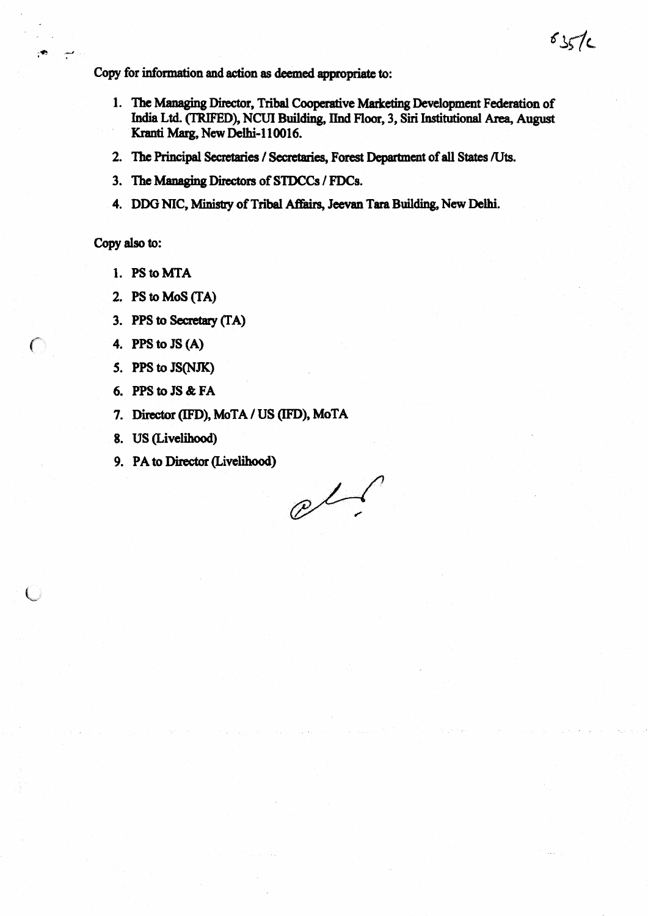Copy for information and action as deemed appropriate to:

- 1. The Managing Director, Tribal Cooperative Marketing Development Federation of India Ltd. (TRIFED), NCUI Building, IInd Floor, 3, Siri Institutional Area, August Kranti Marg, New Delhi-110016.
- 2. The Principal Secretaries / Secretaries, Forest Department of all States /Uts.
- 3. The Managing Directors of STDCCs / FDCs.
- 4. DDG NIC, Ministry of Tribal Affairs, Jeevan Tara Building, New Delhi.

Copy also to:

€

- 1. PS to MTA
- 2. PS to MoS (TA)
- 3. PPS to Secretary (TA)
- 4. PPS to  $JS(A)$
- 5. PPS to JS(NJK)
- 6. PPS to JS & FA
- 7. Director (IFD), MoTA / US (IFD), MoTA
- 8. US (Livelihood)
- 9. PA to Director (Livelihood)

 $e^{t}$